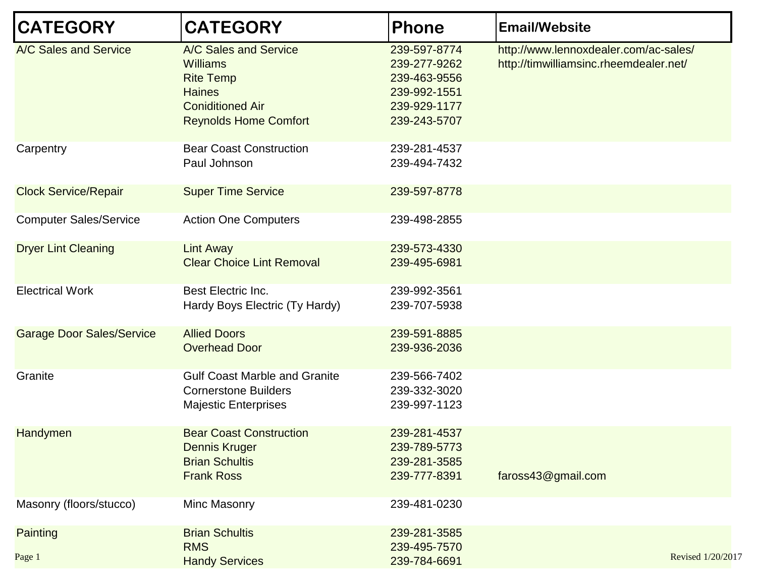| <b>CATEGORY</b>                  | <b>CATEGORY</b>                                                                                                                          | <b>Phone</b>                                                                                 | <b>Email/Website</b>                                                            |                   |
|----------------------------------|------------------------------------------------------------------------------------------------------------------------------------------|----------------------------------------------------------------------------------------------|---------------------------------------------------------------------------------|-------------------|
| A/C Sales and Service            | A/C Sales and Service<br><b>Williams</b><br><b>Rite Temp</b><br><b>Haines</b><br><b>Coniditioned Air</b><br><b>Reynolds Home Comfort</b> | 239-597-8774<br>239-277-9262<br>239-463-9556<br>239-992-1551<br>239-929-1177<br>239-243-5707 | http://www.lennoxdealer.com/ac-sales/<br>http://timwilliamsinc.rheemdealer.net/ |                   |
| Carpentry                        | <b>Bear Coast Construction</b><br>Paul Johnson                                                                                           | 239-281-4537<br>239-494-7432                                                                 |                                                                                 |                   |
| <b>Clock Service/Repair</b>      | <b>Super Time Service</b>                                                                                                                | 239-597-8778                                                                                 |                                                                                 |                   |
| <b>Computer Sales/Service</b>    | <b>Action One Computers</b>                                                                                                              | 239-498-2855                                                                                 |                                                                                 |                   |
| <b>Dryer Lint Cleaning</b>       | <b>Lint Away</b><br><b>Clear Choice Lint Removal</b>                                                                                     | 239-573-4330<br>239-495-6981                                                                 |                                                                                 |                   |
| <b>Electrical Work</b>           | Best Electric Inc.<br>Hardy Boys Electric (Ty Hardy)                                                                                     | 239-992-3561<br>239-707-5938                                                                 |                                                                                 |                   |
| <b>Garage Door Sales/Service</b> | <b>Allied Doors</b><br><b>Overhead Door</b>                                                                                              | 239-591-8885<br>239-936-2036                                                                 |                                                                                 |                   |
| Granite                          | <b>Gulf Coast Marble and Granite</b><br><b>Cornerstone Builders</b><br><b>Majestic Enterprises</b>                                       | 239-566-7402<br>239-332-3020<br>239-997-1123                                                 |                                                                                 |                   |
| Handymen                         | <b>Bear Coast Construction</b><br><b>Dennis Kruger</b><br><b>Brian Schultis</b><br><b>Frank Ross</b>                                     | 239-281-4537<br>239-789-5773<br>239-281-3585<br>239-777-8391                                 | faross43@gmail.com                                                              |                   |
| Masonry (floors/stucco)          | Minc Masonry                                                                                                                             | 239-481-0230                                                                                 |                                                                                 |                   |
| Painting<br>Page 1               | <b>Brian Schultis</b><br><b>RMS</b><br><b>Handy Services</b>                                                                             | 239-281-3585<br>239-495-7570<br>239-784-6691                                                 |                                                                                 | Revised 1/20/2017 |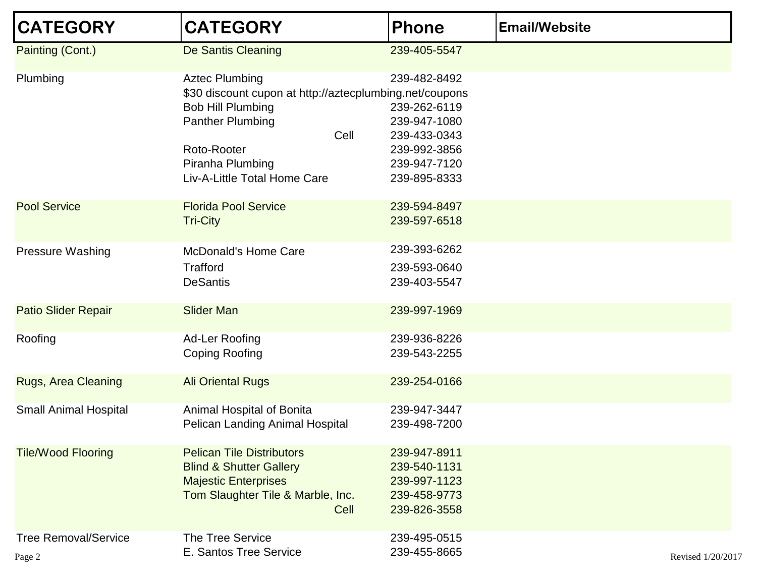| <b>CATEGORY</b>                       | <b>CATEGORY</b>                                                                                                                                                                                                    | <b>Phone</b>                                                                                                 | <b>Email/Website</b> |
|---------------------------------------|--------------------------------------------------------------------------------------------------------------------------------------------------------------------------------------------------------------------|--------------------------------------------------------------------------------------------------------------|----------------------|
| Painting (Cont.)                      | De Santis Cleaning                                                                                                                                                                                                 | 239-405-5547                                                                                                 |                      |
| Plumbing                              | <b>Aztec Plumbing</b><br>\$30 discount cupon at http://aztecplumbing.net/coupons<br><b>Bob Hill Plumbing</b><br><b>Panther Plumbing</b><br>Cell<br>Roto-Rooter<br>Piranha Plumbing<br>Liv-A-Little Total Home Care | 239-482-8492<br>239-262-6119<br>239-947-1080<br>239-433-0343<br>239-992-3856<br>239-947-7120<br>239-895-8333 |                      |
| <b>Pool Service</b>                   | <b>Florida Pool Service</b><br><b>Tri-City</b>                                                                                                                                                                     | 239-594-8497<br>239-597-6518                                                                                 |                      |
| <b>Pressure Washing</b>               | <b>McDonald's Home Care</b><br><b>Trafford</b><br><b>DeSantis</b>                                                                                                                                                  | 239-393-6262<br>239-593-0640<br>239-403-5547                                                                 |                      |
| <b>Patio Slider Repair</b>            | <b>Slider Man</b>                                                                                                                                                                                                  | 239-997-1969                                                                                                 |                      |
| Roofing                               | Ad-Ler Roofing<br><b>Coping Roofing</b>                                                                                                                                                                            | 239-936-8226<br>239-543-2255                                                                                 |                      |
| <b>Rugs, Area Cleaning</b>            | <b>Ali Oriental Rugs</b>                                                                                                                                                                                           | 239-254-0166                                                                                                 |                      |
| <b>Small Animal Hospital</b>          | Animal Hospital of Bonita<br>Pelican Landing Animal Hospital                                                                                                                                                       | 239-947-3447<br>239-498-7200                                                                                 |                      |
| <b>Tile/Wood Flooring</b>             | <b>Pelican Tile Distributors</b><br><b>Blind &amp; Shutter Gallery</b><br><b>Majestic Enterprises</b><br>Tom Slaughter Tile & Marble, Inc.<br>Cell                                                                 | 239-947-8911<br>239-540-1131<br>239-997-1123<br>239-458-9773<br>239-826-3558                                 |                      |
| <b>Tree Removal/Service</b><br>Page 2 | <b>The Tree Service</b><br>E. Santos Tree Service                                                                                                                                                                  | 239-495-0515<br>239-455-8665                                                                                 | Revised 1/20/2017    |